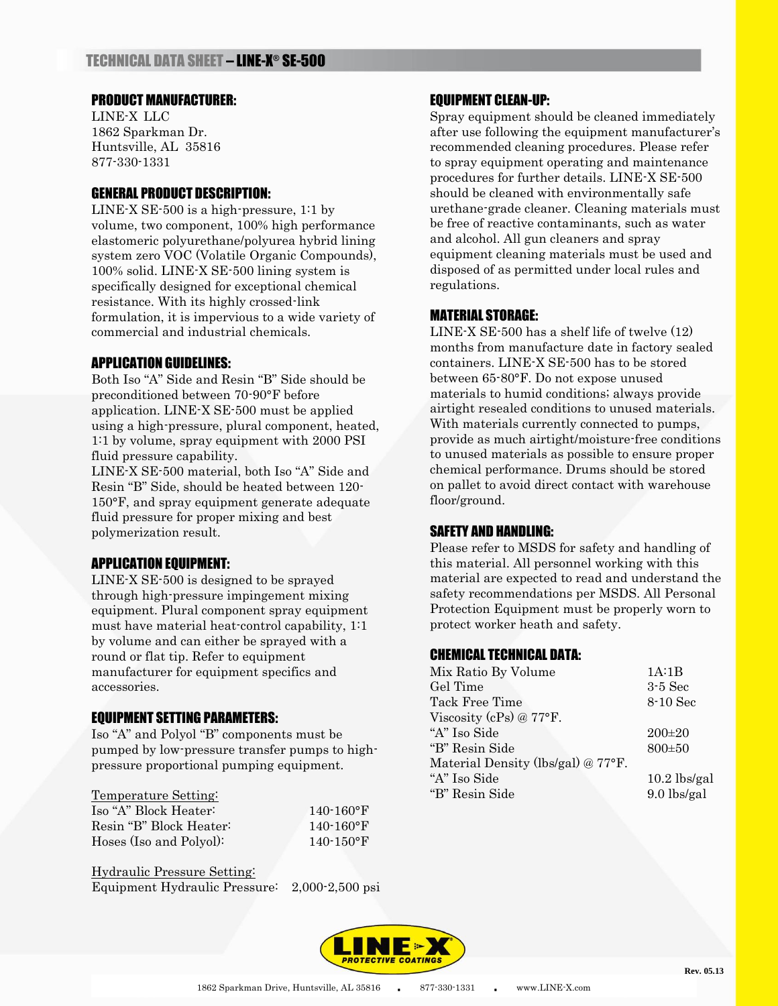#### PRODUCT MANUFACTURER:

LINE-X LLC 1862 Sparkman Dr. Huntsville, AL 35816 877-330-1331

## GENERAL PRODUCT DESCRIPTION:

LINE-X SE-500 is a high-pressure, 1:1 by volume, two component, 100% high performance elastomeric polyurethane/polyurea hybrid lining system zero VOC (Volatile Organic Compounds), 100% solid. LINE-X SE-500 lining system is specifically designed for exceptional chemical resistance. With its highly crossed-link formulation, it is impervious to a wide variety of commercial and industrial chemicals.

## APPLICATION GUIDELINES:

Both Iso "A" Side and Resin "B" Side should be preconditioned between 70-90°F before application. LINE-X SE-500 must be applied using a high-pressure, plural component, heated, 1:1 by volume, spray equipment with 2000 PSI fluid pressure capability.

LINE-X SE-500 material, both Iso "A" Side and Resin "B" Side, should be heated between 120- 150°F, and spray equipment generate adequate fluid pressure for proper mixing and best polymerization result.

## APPLICATION EQUIPMENT:

LINE-X SE-500 is designed to be sprayed through high-pressure impingement mixing equipment. Plural component spray equipment must have material heat-control capability, 1:1 by volume and can either be sprayed with a round or flat tip. Refer to equipment manufacturer for equipment specifics and accessories.

# EQUIPMENT SETTING PARAMETERS:

Iso "A" and Polyol "B" components must be pumped by low-pressure transfer pumps to highpressure proportional pumping equipment.

#### Temperature Setting:

| Iso "A" Block Heater:   | $140 - 160$ °F |
|-------------------------|----------------|
| Resin "B" Block Heater: | $140 - 160$ °F |
| Hoses (Iso and Polyol): | $140 - 150$ °F |

Hydraulic Pressure Setting: Equipment Hydraulic Pressure: 2,000-2,500 psi

## EQUIPMENT CLEAN-UP:

Spray equipment should be cleaned immediately after use following the equipment manufacturer's recommended cleaning procedures. Please refer to spray equipment operating and maintenance procedures for further details. LINE-X SE-500 should be cleaned with environmentally safe urethane-grade cleaner. Cleaning materials must be free of reactive contaminants, such as water and alcohol. All gun cleaners and spray equipment cleaning materials must be used and disposed of as permitted under local rules and regulations.

## MATERIAL STORAGE:

LINE-X SE-500 has a shelf life of twelve (12) months from manufacture date in factory sealed containers. LINE-X SE-500 has to be stored between 65-80°F. Do not expose unused materials to humid conditions; always provide airtight resealed conditions to unused materials. With materials currently connected to pumps, provide as much airtight/moisture-free conditions to unused materials as possible to ensure proper chemical performance. Drums should be stored on pallet to avoid direct contact with warehouse floor/ground.

## SAFETY AND HANDLING:

Please refer to MSDS for safety and handling of this material. All personnel working with this material are expected to read and understand the safety recommendations per MSDS. All Personal Protection Equipment must be properly worn to protect worker heath and safety.

## CHEMICAL TECHNICAL DATA:

| 1A:1B          |
|----------------|
| $3-5$ Sec      |
| 8-10 Sec       |
|                |
| $200\pm 20$    |
| $800 \pm 50$   |
|                |
| $10.2$ lbs/gal |
| $9.0$ lbs/gal  |
|                |

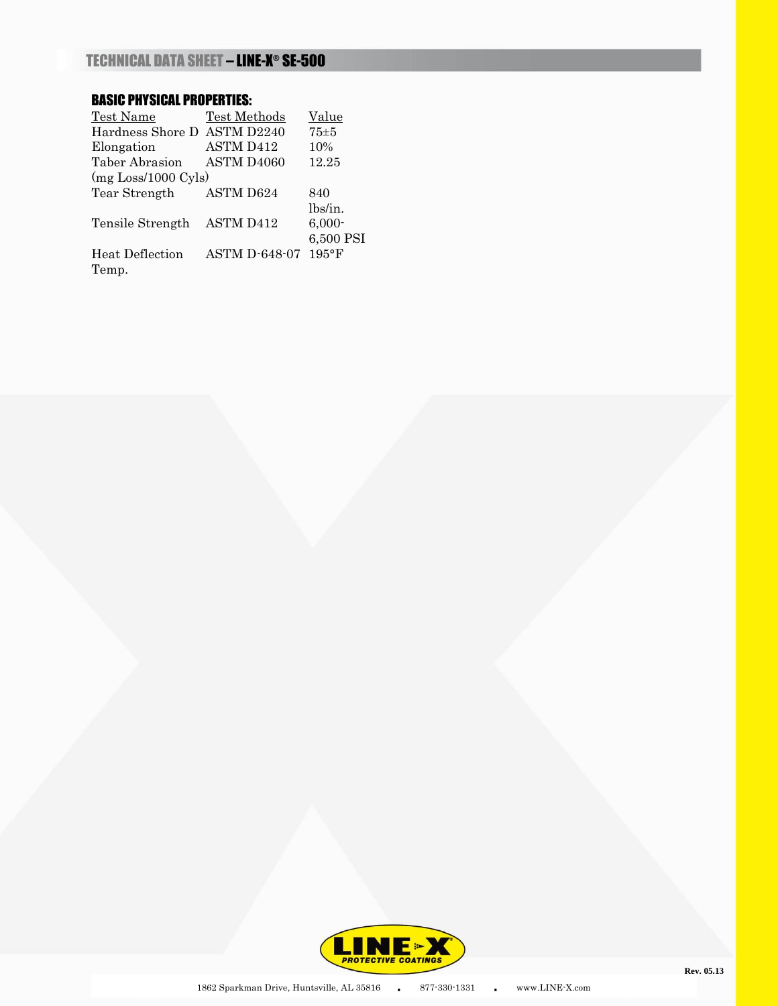# BASIC PHYSICAL PROPERTIES:

| Test Name                            | Test Methods         | Value           |
|--------------------------------------|----------------------|-----------------|
| Hardness Shore D                     | ASTM D2240           | 75±5            |
| Elongation                           | ASTM D412            | 10%             |
| Taber Abrasion                       | ASTM D4060           | 12.25           |
| $(mg \text{Loss}/1000 \text{ Cyls})$ |                      |                 |
| Tear Strength                        | <b>ASTM D624</b>     | 840             |
|                                      |                      | lbs/in.         |
| Tensile Strength                     | <b>ASTM D412</b>     | $6,000 -$       |
|                                      |                      | 6,500 PSI       |
| Heat Deflection                      | <b>ASTM D-648-07</b> | $195^{\circ}$ F |
| Temp.                                |                      |                 |

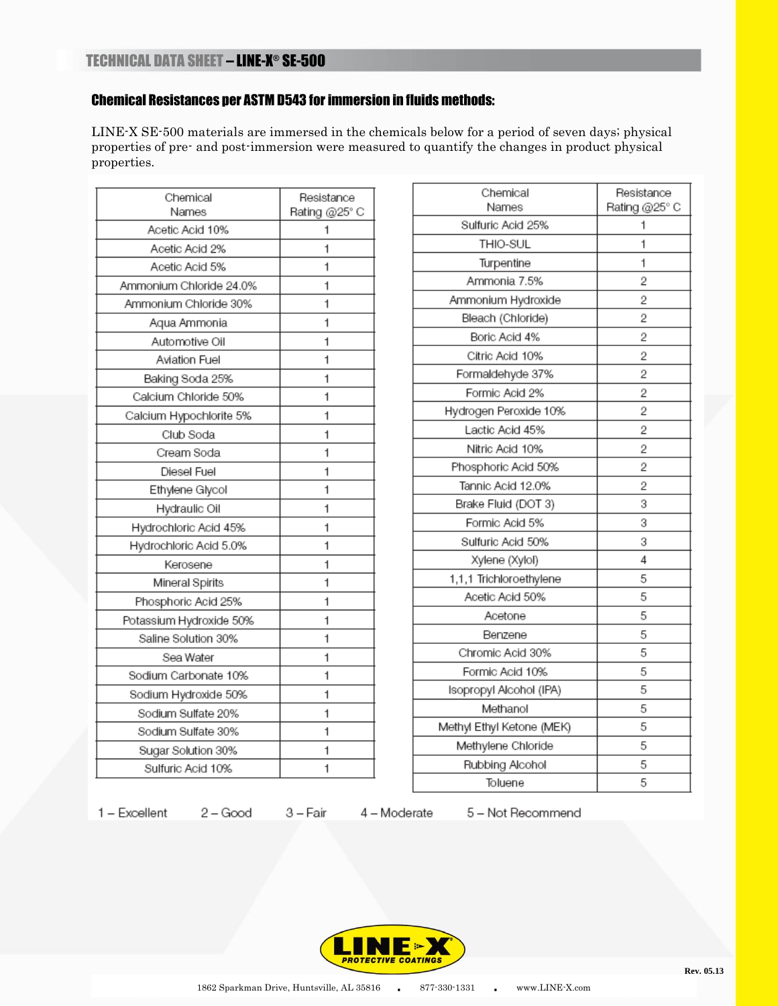# Chemical Resistances per ASTM D543 for immersion in fluids methods:

LINE-X SE-500 materials are immersed in the chemicals below for a period of seven days; physical properties of pre- and post-immersion were measured to quantify the changes in product physical properties.

| Chemical<br>Names       | Resistance<br>Rating @25° C |
|-------------------------|-----------------------------|
| Acetic Acid 10%         | 1                           |
| Acetic Acid 2%          | 1                           |
| Acetic Acid 5%          | 1                           |
| Ammonium Chloride 24.0% | 1                           |
| Ammonium Chloride 30%   | 1                           |
| Aqua Ammonia            | 1                           |
| Automotive Oil          | 1                           |
| Aviation Fuel           | 1                           |
| Baking Soda 25%         | 1                           |
| Calcium Chloride 50%    | 1                           |
| Calcium Hypochlorite 5% | 1                           |
| Club Soda               | 1                           |
| Cream Soda              | 1                           |
| Diesel Fuel             | 1                           |
| Ethylene Glycol         | 1                           |
| Hydraulic Oil           | 1                           |
| Hydrochloric Acid 45%   | 1                           |
| Hydrochloric Acid 5.0%  | 1                           |
| Kerosene                | 1                           |
| Mineral Spirits         | 1                           |
| Phosphoric Acid 25%     | 1                           |
| Potassium Hydroxide 50% | 1                           |
| Saline Solution 30%     | 1                           |
| Sea Water               | 1                           |
| Sodium Carbonate 10%    | 1                           |
| Sodium Hydroxide 50%    | 1                           |
| Sodium Sulfate 20%      | 1                           |
| Sodium Sulfate 30%      | 1                           |
| Sugar Solution 30%      | 1                           |
| Sulfuric Acid 10%       | 1                           |
|                         |                             |

| Chemical                  | Resistance     |
|---------------------------|----------------|
| Names                     | Rating @25° C  |
| Sulfuric Acid 25%         | 1              |
| THIO-SUL                  | 1              |
| Turpentine                | 1              |
| Ammonia 7.5%              | $\overline{2}$ |
| Ammonium Hydroxide        | $\overline{2}$ |
| Bleach (Chloride)         | 2              |
| Boric Acid 4%             | 2              |
| Citric Acid 10%           | 2              |
| Formaldehyde 37%          | $\overline{2}$ |
| Formic Acid 2%            | 2              |
| Hydrogen Peroxide 10%     | 2              |
| Lactic Acid 45%           | $\overline{2}$ |
| Nitric Acid 10%           | 2              |
| Phosphoric Acid 50%       | 2              |
| Tannic Acid 12.0%         | $\overline{2}$ |
| Brake Fluid (DOT 3)       | 3              |
| Formic Acid 5%            | 3              |
| Sulfuric Acid 50%         | 3              |
| Xylene (Xylol)            | 4              |
| 1,1,1 Trichloroethylene   | 5              |
| Acetic Acid 50%           | 5              |
| Acetone                   | 5              |
| Benzene                   | 5              |
| Chromic Acid 30%          | 5              |
| Formic Acid 10%           | 5              |
| Isopropyl Alcohol (IPA)   | 5              |
| Methanol                  | 5              |
| Methyl Ethyl Ketone (MEK) | 5              |
| Methylene Chloride        | 5              |
| Rubbing Alcohol           | 5              |
| Toluene                   | 5              |

 $1 - Excellent$ 

 $2 - Good$ 3 – Fair

4 - Moderate

5 - Not Recommend